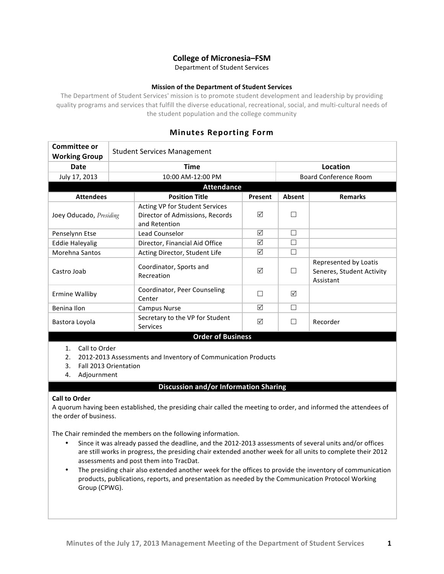# **College of Micronesia–FSM**

Department of Student Services

### **Mission of the Department of Student Services**

The Department of Student Services' mission is to promote student development and leadership by providing quality programs and services that fulfill the diverse educational, recreational, social, and multi-cultural needs of the student population and the college community

# **Minutes Reporting Form**

| Committee or<br><b>Working Group</b>              | <b>Student Services Management</b> |                                                                                    |         |                              |                                                                 |  |
|---------------------------------------------------|------------------------------------|------------------------------------------------------------------------------------|---------|------------------------------|-----------------------------------------------------------------|--|
| Date                                              | <b>Time</b>                        |                                                                                    |         | Location                     |                                                                 |  |
| July 17, 2013                                     | 10:00 AM-12:00 PM                  |                                                                                    |         | <b>Board Conference Room</b> |                                                                 |  |
| <b>Attendance</b>                                 |                                    |                                                                                    |         |                              |                                                                 |  |
| <b>Attendees</b>                                  |                                    | <b>Position Title</b>                                                              | Present | Absent                       | <b>Remarks</b>                                                  |  |
| Joey Oducado, Presiding                           |                                    | Acting VP for Student Services<br>Director of Admissions, Records<br>and Retention | ☑       | г                            |                                                                 |  |
| Penselynn Etse                                    |                                    | Lead Counselor                                                                     | ☑       | П                            |                                                                 |  |
| <b>Eddie Haleyalig</b>                            |                                    | Director, Financial Aid Office                                                     | ☑       | П                            |                                                                 |  |
| <b>Morehna Santos</b>                             |                                    | Acting Director, Student Life                                                      | ☑       | П                            |                                                                 |  |
| Castro Joab                                       |                                    | Coordinator, Sports and<br>Recreation                                              | ☑       | П                            | Represented by Loatis<br>Seneres, Student Activity<br>Assistant |  |
| <b>Ermine Walliby</b>                             |                                    | Coordinator, Peer Counseling<br>Center                                             | П       | ☑                            |                                                                 |  |
| Benina Ilon                                       |                                    | <b>Campus Nurse</b>                                                                | ☑       | П                            |                                                                 |  |
| Bastora Loyola                                    |                                    | Secretary to the VP for Student<br><b>Services</b>                                 | ☑       | П                            | Recorder                                                        |  |
| <b>Order of Business</b>                          |                                    |                                                                                    |         |                              |                                                                 |  |
| $\lambda$ $\lambda$ $\lambda$ $\lambda$ $\lambda$ |                                    |                                                                                    |         |                              |                                                                 |  |

1. Call to Order

- 2. 2012-2013 Assessments and Inventory of Communication Products
- 3. Fall 2013 Orientation
- 4. Adjournment

## **Discussion and/or Information Sharing**

### **Call to Order**

A quorum having been established, the presiding chair called the meeting to order, and informed the attendees of the order of business.

The Chair reminded the members on the following information.

- Since it was already passed the deadline, and the 2012-2013 assessments of several units and/or offices are still works in progress, the presiding chair extended another week for all units to complete their 2012 assessments and post them into TracDat.
- The presiding chair also extended another week for the offices to provide the inventory of communication products, publications, reports, and presentation as needed by the Communication Protocol Working Group (CPWG).